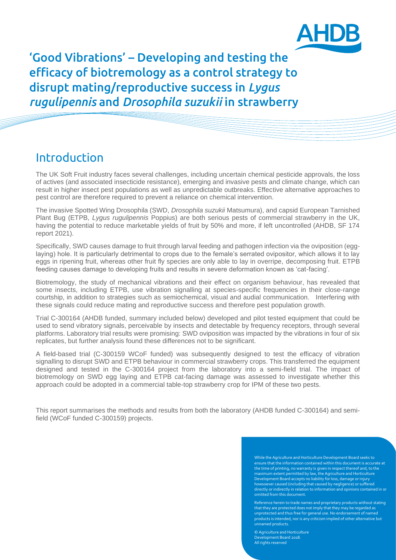

'Good Vibrations' – Developing and testing the efficacy of biotremology as a control strategy to disrupt mating/reproductive success in *Lygus rugulipennis* and *Drosophila suzukii* in strawberry

### Introduction

The UK Soft Fruit industry faces several challenges, including uncertain chemical pesticide approvals, the loss of actives (and associated insecticide resistance), emerging and invasive pests and climate change, which can result in higher insect pest populations as well as unpredictable outbreaks. Effective alternative approaches to pest control are therefore required to prevent a reliance on chemical intervention.

The invasive Spotted Wing Drosophila (SWD, *Drosophila suzukii* Matsumura), and capsid European Tarnished Plant Bug (ETPB, *Lygus rugulipennis* Poppius) are both serious pests of commercial strawberry in the UK, having the potential to reduce marketable yields of fruit by 50% and more, if left uncontrolled (AHDB, SF 174 report 2021).

Specifically, SWD causes damage to fruit through larval feeding and pathogen infection via the oviposition (egglaying) hole. It is particularly detrimental to crops due to the female's serrated ovipositor, which allows it to lay eggs in ripening fruit, whereas other fruit fly species are only able to lay in overripe, decomposing fruit. ETPB feeding causes damage to developing fruits and results in severe deformation known as 'cat-facing'.

Biotremology, the study of mechanical vibrations and their effect on organism behaviour, has revealed that some insects, including ETPB, use vibration signalling at species-specific frequencies in their close-range courtship, in addition to strategies such as semiochemical, visual and audial communication. Interfering with these signals could reduce mating and reproductive success and therefore pest population growth.

Trial C-300164 (AHDB funded, summary included below) developed and pilot tested equipment that could be used to send vibratory signals, perceivable by insects and detectable by frequency receptors, through several platforms. Laboratory trial results were promising: SWD oviposition was impacted by the vibrations in four of six replicates, but further analysis found these differences not to be significant.

A field-based trial (C-300159 WCoF funded) was subsequently designed to test the efficacy of vibration signalling to disrupt SWD and ETPB behaviour in commercial strawberry crops. This transferred the equipment designed and tested in the C-300164 project from the laboratory into a semi-field trial. The impact of biotremology on SWD egg laying and ETPB cat-facing damage was assessed to investigate whether this approach could be adopted in a commercial table-top strawberry crop for IPM of these two pests.

This report summarises the methods and results from both the laboratory (AHDB funded C-300164) and semifield (WCoF funded C-300159) projects.

> While the Agriculture and Horticulture Development Board seeks to ensure that the information contained within this document is accurate at the time of printing, no warranty is given in respect thereof and, to the maximum extent permitted by law, the Agriculture and Horticulture Development Board accepts no liability for loss, damage or injury howsoever caused (including that caused by negligence) or suffered directly or indirectly in relation to information and opinions contained in or omitted from this document.

> Reference herein to trade names and proprietary products without stating that they are protected does not imply that they may be regarded as unprotected and thus free for general use. No endorsement of named products is intended, nor is any criticism implied of other alternative but unnamed products.

© Agriculture and Horticulture elopment Board 2018 All rights reserved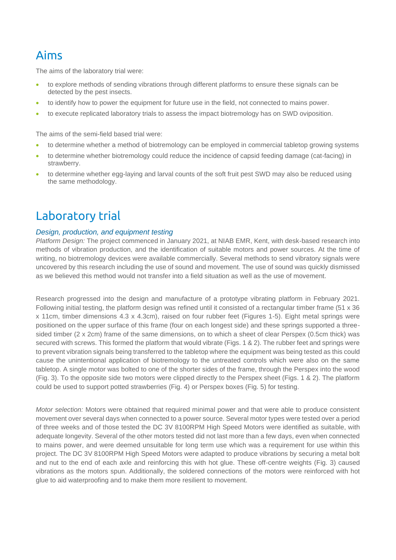## Aims

The aims of the laboratory trial were:

- to explore methods of sending vibrations through different platforms to ensure these signals can be detected by the pest insects.
- to identify how to power the equipment for future use in the field, not connected to mains power.
- to execute replicated laboratory trials to assess the impact biotremology has on SWD oviposition.

The aims of the semi-field based trial were:

- to determine whether a method of biotremology can be employed in commercial tabletop growing systems
- to determine whether biotremology could reduce the incidence of capsid feeding damage (cat-facing) in strawberry.
- to determine whether egg-laying and larval counts of the soft fruit pest SWD may also be reduced using the same methodology.

## Laboratory trial

#### *Design, production, and equipment testing*

*Platform Design:* The project commenced in January 2021, at NIAB EMR, Kent, with desk-based research into methods of vibration production, and the identification of suitable motors and power sources. At the time of writing, no biotremology devices were available commercially. Several methods to send vibratory signals were uncovered by this research including the use of sound and movement. The use of sound was quickly dismissed as we believed this method would not transfer into a field situation as well as the use of movement.

Research progressed into the design and manufacture of a prototype vibrating platform in February 2021. Following initial testing, the platform design was refined until it consisted of a rectangular timber frame (51 x 36 x 11cm, timber dimensions 4.3 x 4.3cm), raised on four rubber feet (Figures 1-5). Eight metal springs were positioned on the upper surface of this frame (four on each longest side) and these springs supported a threesided timber (2 x 2cm) frame of the same dimensions, on to which a sheet of clear Perspex (0.5cm thick) was secured with screws. This formed the platform that would vibrate (Figs. 1 & 2). The rubber feet and springs were to prevent vibration signals being transferred to the tabletop where the equipment was being tested as this could cause the unintentional application of biotremology to the untreated controls which were also on the same tabletop. A single motor was bolted to one of the shorter sides of the frame, through the Perspex into the wood (Fig. 3). To the opposite side two motors were clipped directly to the Perspex sheet (Figs. 1 & 2). The platform could be used to support potted strawberries (Fig. 4) or Perspex boxes (Fig. 5) for testing.

*Motor selection:* Motors were obtained that required minimal power and that were able to produce consistent movement over several days when connected to a power source. Several motor types were tested over a period of three weeks and of those tested the DC 3V 8100RPM High Speed Motors were identified as suitable, with adequate longevity. Several of the other motors tested did not last more than a few days, even when connected to mains power, and were deemed unsuitable for long term use which was a requirement for use within this project. The DC 3V 8100RPM High Speed Motors were adapted to produce vibrations by securing a metal bolt and nut to the end of each axle and reinforcing this with hot glue. These off-centre weights (Fig. 3) caused vibrations as the motors spun. Additionally, the soldered connections of the motors were reinforced with hot glue to aid waterproofing and to make them more resilient to movement.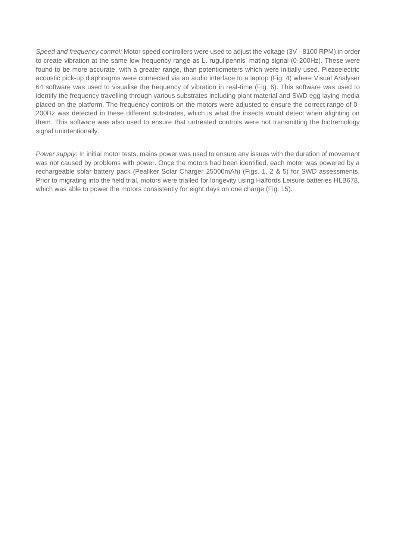*Speed and frequency control:* Motor speed controllers were used to adjust the voltage (3V - 8100 RPM) in order to create vibration at the same low frequency range as L. rugulipennis' mating signal (0-200Hz). These were found to be more accurate, with a greater range, than potentiometers which were initially used. Piezoelectric acoustic pick-up diaphragms were connected via an audio interface to a laptop (Fig. 4) where Visual Analyser 64 software was used to visualise the frequency of vibration in real-time (Fig. 6). This software was used to identify the frequency travelling through various substrates including plant material and SWD egg laying media placed on the platform. The frequency controls on the motors were adjusted to ensure the correct range of 0- 200Hz was detected in these different substrates, which is what the insects would detect when alighting on them. This software was also used to ensure that untreated controls were not transmitting the biotremology signal unintentionally.

*Power supply:* In initial motor tests, mains power was used to ensure any issues with the duration of movement was not caused by problems with power. Once the motors had been identified, each motor was powered by a rechargeable solar battery pack (Pealiker Solar Charger 25000mAh) (Figs. 1, 2 & 5) for SWD assessments. Prior to migrating into the field trial, motors were trialled for longevity using Halfords Leisure batteries HLB678, which was able to power the motors consistently for eight days on one charge (Fig. 15).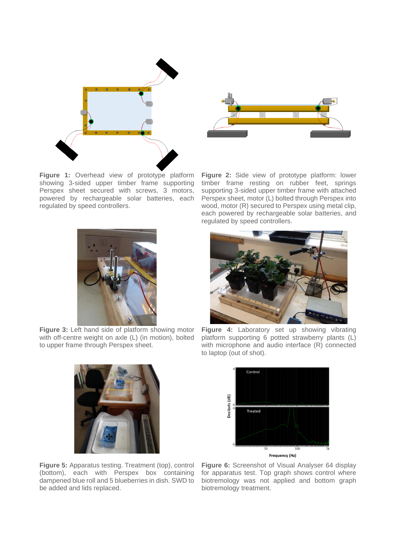

**Figure 1:** Overhead view of prototype platform showing 3-sided upper timber frame supporting Perspex sheet secured with screws, 3 motors, powered by rechargeable solar batteries, each regulated by speed controllers.



**Figure 2:** Side view of prototype platform: lower timber frame resting on rubber feet, springs supporting 3-sided upper timber frame with attached Perspex sheet, motor (L) bolted through Perspex into wood, motor (R) secured to Perspex using metal clip, each powered by rechargeable solar batteries, and regulated by speed controllers.



Figure 3: Left hand side of platform showing motor with off-centre weight on axle (L) (in motion), bolted to upper frame through Perspex sheet.



**Figure 4:** Laboratory set up showing vibrating platform supporting 6 potted strawberry plants (L) with microphone and audio interface (R) connected to laptop (out of shot).



**Figure 5:** Apparatus testing. Treatment (top), control (bottom), each with Perspex box containing dampened blue roll and 5 blueberries in dish. SWD to be added and lids replaced.

**Figure 6:** Screenshot of Visual Analyser 64 display for apparatus test. Top graph shows control where biotremology was not applied and bottom graph biotremology treatment.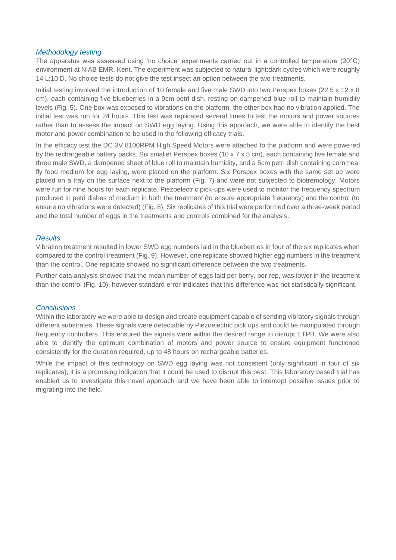#### *Methodology testing*

The apparatus was assessed using 'no choice' experiments carried out in a controlled temperature (20°C) environment at NIAB EMR, Kent. The experiment was subjected to natural light:dark cycles which were roughly 14 L:10 D. No choice tests do not give the test insect an option between the two treatments.

Initial testing involved the introduction of 10 female and five male SWD into two Perspex boxes (22.5 x 12 x 8 cm), each containing five blueberries in a 9cm petri dish, resting on dampened blue roll to maintain humidity levels (Fig. 5). One box was exposed to vibrations on the platform, the other box had no vibration applied. The initial test was run for 24 hours. This test was replicated several times to test the motors and power sources rather than to assess the impact on SWD egg laying. Using this approach, we were able to identify the best motor and power combination to be used in the following efficacy trials.

In the efficacy test the DC 3V 8100RPM High Speed Motors were attached to the platform and were powered by the rechargeable battery packs. Six smaller Perspex boxes (10 x 7 x 5 cm), each containing five female and three male SWD, a dampened sheet of blue roll to maintain humidity, and a 5cm petri dish containing cornmeal fly food medium for egg laying, were placed on the platform. Six Perspex boxes with the same set up were placed on a tray on the surface next to the platform (Fig. 7) and were not subjected to biotremology. Motors were run for nine hours for each replicate. Piezoelectric pick-ups were used to monitor the frequency spectrum produced in petri dishes of medium in both the treatment (to ensure appropriate frequency) and the control (to ensure no vibrations were detected) (Fig. 8). Six replicates of this trial were performed over a three-week period and the total number of eggs in the treatments and controls combined for the analysis.

#### *Results*

Vibration treatment resulted in lower SWD egg numbers laid in the blueberries in four of the six replicates when compared to the control treatment (Fig. 9). However, one replicate showed higher egg numbers in the treatment than the control. One replicate showed no significant difference between the two treatments.

Further data analysis showed that the mean number of eggs laid per berry, per rep, was lower in the treatment than the control (Fig. 10), however standard error indicates that this difference was not statistically significant.

#### *Conclusions*

Within the laboratory we were able to design and create equipment capable of sending vibratory signals through different substrates. These signals were detectable by Piezoelectric pick ups and could be manipulated through frequency controllers. This ensured the signals were within the desired range to disrupt ETPB. We were also able to identify the optimum combination of motors and power source to ensure equipment functioned consistently for the duration required, up to 48 hours on rechargeable batteries.

While the impact of this technology on SWD egg laying was not consistent (only significant in four of six replicates), it is a promising indication that it could be used to disrupt this pest. This laboratory based trial has enabled us to investigate this novel approach and we have been able to intercept possible issues prior to migrating into the field.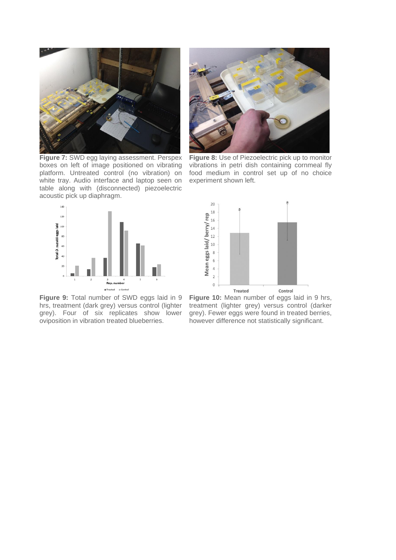

**Figure 7:** SWD egg laying assessment. Perspex boxes on left of image positioned on vibrating platform. Untreated control (no vibration) on white tray. Audio interface and laptop seen on table along with (disconnected) piezoelectric acoustic pick up diaphragm.



**Figure 9:** Total number of SWD eggs laid in 9 hrs, treatment (dark grey) versus control (lighter grey). Four of six replicates show lower oviposition in vibration treated blueberries.



**Figure 8:** Use of Piezoelectric pick up to monitor vibrations in petri dish containing cornmeal fly food medium in control set up of no choice experiment shown left.



**Figure 10:** Mean number of eggs laid in 9 hrs, treatment (lighter grey) versus control (darker grey). Fewer eggs were found in treated berries, however difference not statistically significant.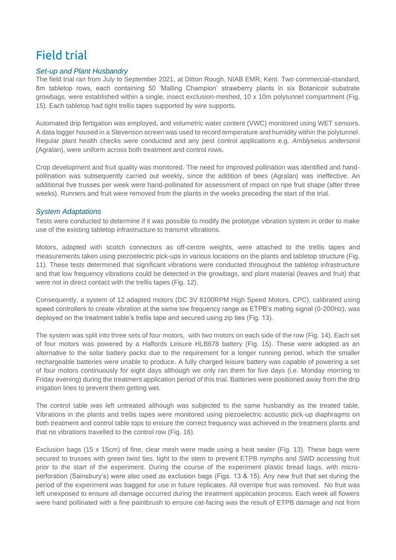# Field trial

#### *Set-up and Plant Husbandry*

The field trial ran from July to September 2021, at Ditton Rough, NIAB EMR, Kent. Two commercial-standard, 8m tabletop rows, each containing 50 'Malling Champion' strawberry plants in six Botanicoir substrate growbags, were established within a single, insect exclusion-meshed, 10 x 10m polytunnel compartment (Fig. 15). Each tabletop had tight trellis tapes supported by wire supports.

Automated drip fertigation was employed, and volumetric water content (VWC) monitored using WET sensors. A data logger housed in a Stevenson screen was used to record temperature and humidity within the polytunnel. Regular plant health checks were conducted and any pest control applications e.g. *Amblyseius andersonii*  (Agralan), were uniform across both treatment and control rows.

Crop development and fruit quality was monitored. The need for improved pollination was identified and handpollination was subsequently carried out weekly, since the addition of bees (Agralan) was ineffective. An additional five trusses per week were hand-pollinated for assessment of impact on ripe fruit shape (after three weeks). Runners and fruit were removed from the plants in the weeks preceding the start of the trial.

#### *System Adaptations*

Tests were conducted to determine if it was possible to modify the prototype vibration system in order to make use of the existing tabletop infrastructure to transmit vibrations.

Motors, adapted with scotch connectors as off-centre weights, were attached to the trellis tapes and measurements taken using piezoelectric pick-ups in various locations on the plants and tabletop structure (Fig. 11). These tests determined that significant vibrations were conducted throughout the tabletop infrastructure and that low frequency vibrations could be detected in the growbags, and plant material (leaves and fruit) that were not in direct contact with the trellis tapes (Fig. 12).

Consequently, a system of 12 adapted motors (DC 3V 8100RPM High Speed Motors, CPC), calibrated using speed controllers to create vibration at the same low frequency range as ETPB's mating signal (0-200Hz), was deployed on the treatment table's trellis tape and secured using zip ties (Fig. 13).

The system was split into three sets of four motors, with two motors on each side of the row (Fig. 14). Each set of four motors was powered by a Halfords Leisure HLB678 battery (Fig. 15). These were adopted as an alternative to the solar battery packs due to the requirement for a longer running period, which the smaller rechargeable batteries were unable to produce. A fully charged leisure battery was capable of powering a set of four motors continuously for eight days although we only ran them for five days (i.e. Monday morning to Friday evening) during the treatment application period of this trial. Batteries were positioned away from the drip irrigation lines to prevent them getting wet.

The control table was left untreated although was subjected to the same husbandry as the treated table. Vibrations in the plants and trellis tapes were monitored using piezoelectric acoustic pick-up diaphragms on both treatment and control table tops to ensure the correct frequency was achieved in the treatment plants and that no vibrations travelled to the control row (Fig. 16).

Exclusion bags (15 x 15cm) of fine, clear mesh were made using a heat sealer (Fig. 13). These bags were secured to trusses with green twist ties, tight to the stem to prevent ETPB nymphs and SWD accessing fruit prior to the start of the experiment. During the course of the experiment plastic bread bags, with microperforation (Sainsbury's) were also used as exclusion bags (Figs. 13 & 15). Any new fruit that set during the period of the experiment was bagged for use in future replicates. All overripe fruit was removed. No fruit was left unexposed to ensure all damage occurred during the treatment application process. Each week all flowers were hand pollinated with a fine paintbrush to ensure cat-facing was the result of ETPB damage and not from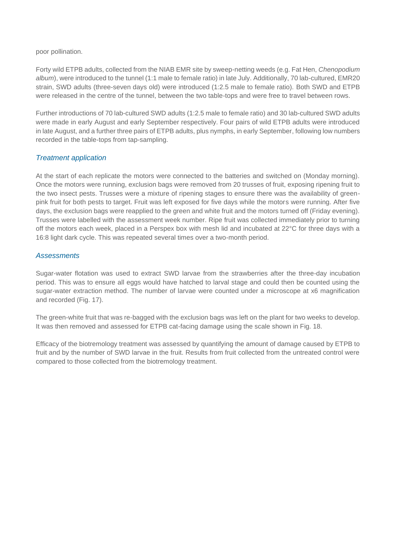poor pollination.

Forty wild ETPB adults, collected from the NIAB EMR site by sweep-netting weeds (e.g. Fat Hen, *Chenopodium album*), were introduced to the tunnel (1:1 male to female ratio) in late July. Additionally, 70 lab-cultured, EMR20 strain, SWD adults (three-seven days old) were introduced (1:2.5 male to female ratio). Both SWD and ETPB were released in the centre of the tunnel, between the two table-tops and were free to travel between rows.

Further introductions of 70 lab-cultured SWD adults (1:2.5 male to female ratio) and 30 lab-cultured SWD adults were made in early August and early September respectively. Four pairs of wild ETPB adults were introduced in late August, and a further three pairs of ETPB adults, plus nymphs, in early September, following low numbers recorded in the table-tops from tap-sampling.

#### *Treatment application*

At the start of each replicate the motors were connected to the batteries and switched on (Monday morning). Once the motors were running, exclusion bags were removed from 20 trusses of fruit, exposing ripening fruit to the two insect pests. Trusses were a mixture of ripening stages to ensure there was the availability of greenpink fruit for both pests to target. Fruit was left exposed for five days while the motors were running. After five days, the exclusion bags were reapplied to the green and white fruit and the motors turned off (Friday evening). Trusses were labelled with the assessment week number. Ripe fruit was collected immediately prior to turning off the motors each week, placed in a Perspex box with mesh lid and incubated at 22°C for three days with a 16:8 light dark cycle. This was repeated several times over a two-month period.

#### *Assessments*

Sugar-water flotation was used to extract SWD larvae from the strawberries after the three-day incubation period. This was to ensure all eggs would have hatched to larval stage and could then be counted using the sugar-water extraction method. The number of larvae were counted under a microscope at x6 magnification and recorded (Fig. 17).

The green-white fruit that was re-bagged with the exclusion bags was left on the plant for two weeks to develop. It was then removed and assessed for ETPB cat-facing damage using the scale shown in Fig. 18.

Efficacy of the biotremology treatment was assessed by quantifying the amount of damage caused by ETPB to fruit and by the number of SWD larvae in the fruit. Results from fruit collected from the untreated control were compared to those collected from the biotremology treatment.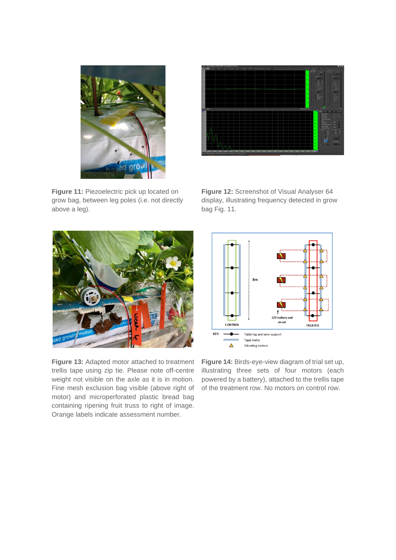

**Figure 11:** Piezoelectric pick up located on grow bag, between leg poles (i.e. not directly above a leg).



**Figure 12:** Screenshot of Visual Analyser 64 display, illustrating frequency detected in grow bag Fig. 11.



**Figure 13:** Adapted motor attached to treatment trellis tape using zip tie. Please note off-centre weight not visible on the axle as it is in motion. Fine mesh exclusion bag visible (above right of motor) and microperforated plastic bread bag containing ripening fruit truss to right of image. Orange labels indicate assessment number.



**Figure 14:** Birds-eye-view diagram of trial set up, illustrating three sets of four motors (each powered by a battery), attached to the trellis tape of the treatment row. No motors on control row.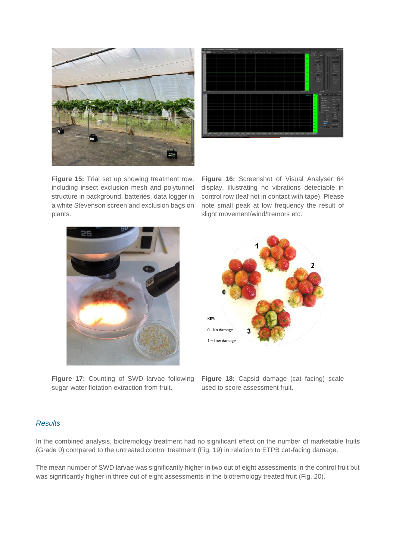

**Figure 15:** Trial set up showing treatment row, including insect exclusion mesh and polytunnel structure in background, batteries, data logger in a white Stevenson screen and exclusion bags on plants.



**Figure 16:** Screenshot of Visual Analyser 64 display, illustrating no vibrations detectable in control row (leaf not in contact with tape). Please note small peak at low frequency the result of slight movement/wind/tremors etc.



**Figure 17:** Counting of SWD larvae following sugar-water flotation extraction from fruit.



**Figure 18:** Capsid damage (cat facing) scale used to score assessment fruit.

#### *Results*

In the combined analysis, biotremology treatment had no significant effect on the number of marketable fruits (Grade 0) compared to the untreated control treatment (Fig. 19) in relation to ETPB cat-facing damage.

The mean number of SWD larvae was significantly higher in two out of eight assessments in the control fruit but was significantly higher in three out of eight assessments in the biotremology treated fruit (Fig. 20).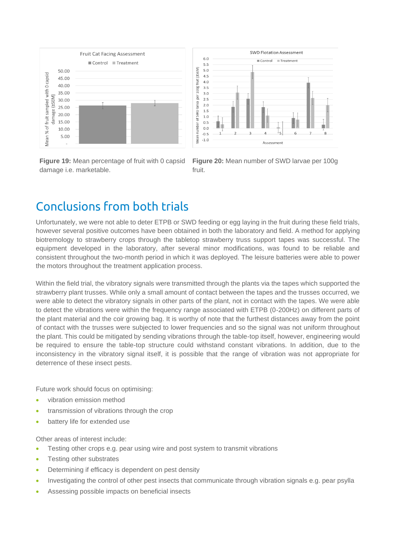

**Figure 19:** Mean percentage of fruit with 0 capsid damage i.e. marketable.



**Figure 20:** Mean number of SWD larvae per 100g fruit.

# Conclusions from both trials

Unfortunately, we were not able to deter ETPB or SWD feeding or egg laying in the fruit during these field trials, however several positive outcomes have been obtained in both the laboratory and field. A method for applying biotremology to strawberry crops through the tabletop strawberry truss support tapes was successful. The equipment developed in the laboratory, after several minor modifications, was found to be reliable and consistent throughout the two-month period in which it was deployed. The leisure batteries were able to power the motors throughout the treatment application process.

Within the field trial, the vibratory signals were transmitted through the plants via the tapes which supported the strawberry plant trusses. While only a small amount of contact between the tapes and the trusses occurred, we were able to detect the vibratory signals in other parts of the plant, not in contact with the tapes. We were able to detect the vibrations were within the frequency range associated with ETPB (0-200Hz) on different parts of the plant material and the coir growing bag. It is worthy of note that the furthest distances away from the point of contact with the trusses were subjected to lower frequencies and so the signal was not uniform throughout the plant. This could be mitigated by sending vibrations through the table-top itself, however, engineering would be required to ensure the table-top structure could withstand constant vibrations. In addition, due to the inconsistency in the vibratory signal itself, it is possible that the range of vibration was not appropriate for deterrence of these insect pests.

Future work should focus on optimising:

- vibration emission method
- transmission of vibrations through the crop
- battery life for extended use

Other areas of interest include:

- Testing other crops e.g. pear using wire and post system to transmit vibrations
- Testing other substrates
- Determining if efficacy is dependent on pest density
- Investigating the control of other pest insects that communicate through vibration signals e.g. pear psylla
- Assessing possible impacts on beneficial insects